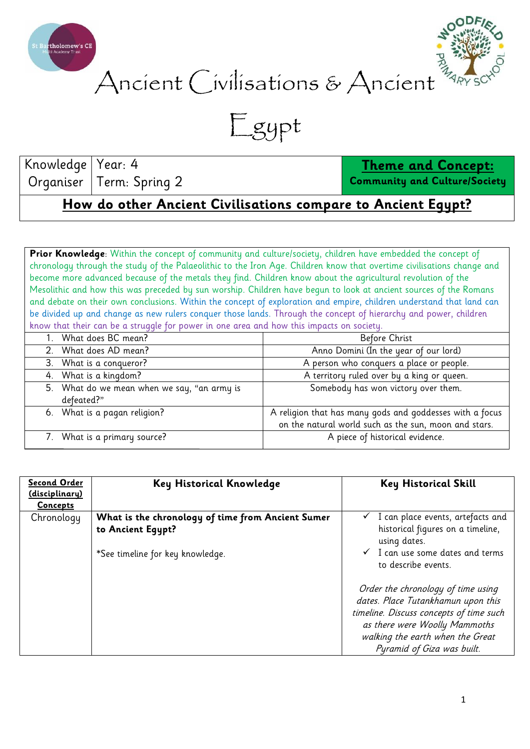



## Ancient Civilisations & Ancient

Egypt

Knowledge Organiser Year: 4 Term: Spring 2

**Theme and Concept:**

**Community and Culture/Society**

**How do other Ancient Civilisations compare to Ancient Egypt?**

Prior Knowledge: Within the concept of community and culture/society, children have embedded the concept of chronology through the study of the Palaeolithic to the Iron Age. Children know that overtime civilisations change and become more advanced because of the metals they find. Children know about the agricultural revolution of the Mesolithic and how this was preceded by sun worship. Children have begun to look at ancient sources of the Romans and debate on their own conclusions. Within the concept of exploration and empire, children understand that land can be divided up and change as new rulers conquer those lands. Through the concept of hierarchy and power, children know that their can be a struggle for power in one area and how this impacts on society.

|  | 1. What does BC mean?                       | Before Christ                                            |  |  |
|--|---------------------------------------------|----------------------------------------------------------|--|--|
|  | 2. What does AD mean?                       | Anno Domini (In the year of our lord)                    |  |  |
|  | 3. What is a conqueror?                     | A person who conquers a place or people.                 |  |  |
|  | 4. What is a kingdom?                       | A territory ruled over by a king or queen.               |  |  |
|  | 5. What do we mean when we say, "an army is | Somebody has won victory over them.                      |  |  |
|  | defeated?"                                  |                                                          |  |  |
|  | 6. What is a pagan religion?                | A religion that has many gods and goddesses with a focus |  |  |
|  |                                             | on the natural world such as the sun, moon and stars.    |  |  |
|  | 7. What is a primary source?                | A piece of historical evidence.                          |  |  |
|  |                                             |                                                          |  |  |

| <b>Second Order</b><br><u>(disciplinary)</u><br><b>Concepts</b> | <b>Key Historical Knowledge</b>                                        | <b>Key Historical Skill</b>                                                                         |
|-----------------------------------------------------------------|------------------------------------------------------------------------|-----------------------------------------------------------------------------------------------------|
| Chronology                                                      | What is the chronology of time from Ancient Sumer<br>to Ancient Eqypt? | $\checkmark$ I can place events, artefacts and<br>historical figures on a timeline,<br>using dates. |
|                                                                 | *See timeline for key knowledge.                                       | $\checkmark$ I can use some dates and terms<br>to describe events.                                  |
|                                                                 |                                                                        | Order the chronology of time using<br>dates. Place Tutankhamun upon this                            |
|                                                                 |                                                                        | timeline. Discuss concepts of time such<br>as there were Woolly Mammoths                            |
|                                                                 |                                                                        | walking the earth when the Great<br>Pyramid of Giza was built.                                      |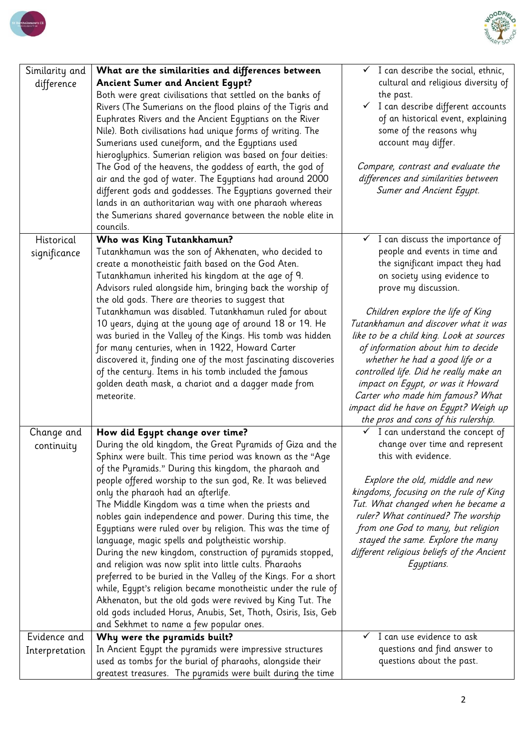



| Similarity and<br>difference | What are the similarities and differences between<br><b>Ancient Sumer and Ancient Egypt?</b><br>Both were great civilisations that settled on the banks of<br>Rivers (The Sumerians on the flood plains of the Tigris and<br>Euphrates Rivers and the Ancient Egyptians on the River<br>Nile). Both civilisations had unique forms of writing. The<br>Sumerians used cuneiform, and the Egyptians used<br>hieroglyphics. Sumerian religion was based on four deities:<br>The God of the heavens, the goddess of earth, the god of<br>air and the god of water. The Egyptians had around 2000<br>different gods and goddesses. The Egyptians governed their<br>lands in an authoritarian way with one pharaoh whereas<br>the Sumerians shared governance between the noble elite in<br>councils. | $\checkmark$ I can describe the social, ethnic,<br>cultural and religious diversity of<br>the past.<br>$\checkmark$ I can describe different accounts<br>of an historical event, explaining<br>some of the reasons why<br>account may differ.<br>Compare, contrast and evaluate the<br>differences and similarities between<br>Sumer and Ancient Egypt. |
|------------------------------|-------------------------------------------------------------------------------------------------------------------------------------------------------------------------------------------------------------------------------------------------------------------------------------------------------------------------------------------------------------------------------------------------------------------------------------------------------------------------------------------------------------------------------------------------------------------------------------------------------------------------------------------------------------------------------------------------------------------------------------------------------------------------------------------------|---------------------------------------------------------------------------------------------------------------------------------------------------------------------------------------------------------------------------------------------------------------------------------------------------------------------------------------------------------|
| Historical                   | Who was King Tutankhamun?                                                                                                                                                                                                                                                                                                                                                                                                                                                                                                                                                                                                                                                                                                                                                                       | $\checkmark$ I can discuss the importance of                                                                                                                                                                                                                                                                                                            |
| significance                 | Tutankhamun was the son of Akhenaten, who decided to<br>create a monotheistic faith based on the God Aten.<br>Tutankhamun inherited his kingdom at the age of 9.<br>Advisors ruled alongside him, bringing back the worship of<br>the old gods. There are theories to suggest that<br>Tutankhamun was disabled. Tutankhamun ruled for about<br>10 years, dying at the young age of around 18 or 19. He                                                                                                                                                                                                                                                                                                                                                                                          | people and events in time and<br>the significant impact they had<br>on society using evidence to<br>prove my discussion.<br>Children explore the life of King<br>Tutankhamun and discover what it was                                                                                                                                                   |
|                              | was buried in the Valley of the Kings. His tomb was hidden<br>for many centuries, when in 1922, Howard Carter<br>discovered it, finding one of the most fascinating discoveries<br>of the century. Items in his tomb included the famous<br>golden death mask, a chariot and a dagger made from<br>meteorite.                                                                                                                                                                                                                                                                                                                                                                                                                                                                                   | like to be a child king. Look at sources<br>of information about him to decide<br>whether he had a good life or a<br>controlled life. Did he really make an<br>impact on Egypt, or was it Howard<br>Carter who made him famous? What<br>impact did he have on Egypt? Weigh up<br>the pros and cons of his rulership.                                    |
| Change and                   | How did Egypt change over time?                                                                                                                                                                                                                                                                                                                                                                                                                                                                                                                                                                                                                                                                                                                                                                 | $\checkmark$ I can understand the concept of                                                                                                                                                                                                                                                                                                            |
| continuity                   | During the old kingdom, the Great Pyramids of Giza and the                                                                                                                                                                                                                                                                                                                                                                                                                                                                                                                                                                                                                                                                                                                                      | change over time and represent<br>this with evidence.                                                                                                                                                                                                                                                                                                   |
|                              | Sphinx were built. This time period was known as the "Age<br>of the Pyramids." During this kingdom, the pharaoh and                                                                                                                                                                                                                                                                                                                                                                                                                                                                                                                                                                                                                                                                             |                                                                                                                                                                                                                                                                                                                                                         |
|                              | people offered worship to the sun god, Re. It was believed                                                                                                                                                                                                                                                                                                                                                                                                                                                                                                                                                                                                                                                                                                                                      | Explore the old, middle and new                                                                                                                                                                                                                                                                                                                         |
|                              | only the pharaoh had an afterlife.                                                                                                                                                                                                                                                                                                                                                                                                                                                                                                                                                                                                                                                                                                                                                              | kingdoms, focusing on the rule of King                                                                                                                                                                                                                                                                                                                  |
|                              | The Middle Kingdom was a time when the priests and                                                                                                                                                                                                                                                                                                                                                                                                                                                                                                                                                                                                                                                                                                                                              | Tut. What changed when he became a                                                                                                                                                                                                                                                                                                                      |
|                              | nobles gain independence and power. During this time, the<br>Egyptians were ruled over by religion. This was the time of                                                                                                                                                                                                                                                                                                                                                                                                                                                                                                                                                                                                                                                                        | ruler? What continued? The worship<br>from one God to many, but religion                                                                                                                                                                                                                                                                                |
|                              | language, magic spells and polytheistic worship.                                                                                                                                                                                                                                                                                                                                                                                                                                                                                                                                                                                                                                                                                                                                                | stayed the same. Explore the many                                                                                                                                                                                                                                                                                                                       |
|                              | During the new kingdom, construction of pyramids stopped,                                                                                                                                                                                                                                                                                                                                                                                                                                                                                                                                                                                                                                                                                                                                       | different religious beliefs of the Ancient                                                                                                                                                                                                                                                                                                              |
|                              | and religion was now split into little cults. Pharaohs<br>preferred to be buried in the Valley of the Kings. For a short                                                                                                                                                                                                                                                                                                                                                                                                                                                                                                                                                                                                                                                                        | Egyptians.                                                                                                                                                                                                                                                                                                                                              |
|                              | while, Egypt's religion became monotheistic under the rule of                                                                                                                                                                                                                                                                                                                                                                                                                                                                                                                                                                                                                                                                                                                                   |                                                                                                                                                                                                                                                                                                                                                         |
|                              | Akhenaton, but the old gods were revived by King Tut. The                                                                                                                                                                                                                                                                                                                                                                                                                                                                                                                                                                                                                                                                                                                                       |                                                                                                                                                                                                                                                                                                                                                         |
|                              | old gods included Horus, Anubis, Set, Thoth, Osiris, Isis, Geb                                                                                                                                                                                                                                                                                                                                                                                                                                                                                                                                                                                                                                                                                                                                  |                                                                                                                                                                                                                                                                                                                                                         |
|                              | and Sekhmet to name a few popular ones.                                                                                                                                                                                                                                                                                                                                                                                                                                                                                                                                                                                                                                                                                                                                                         |                                                                                                                                                                                                                                                                                                                                                         |
| Evidence and                 | Why were the pyramids built?<br>In Ancient Equpt the pyramids were impressive structures                                                                                                                                                                                                                                                                                                                                                                                                                                                                                                                                                                                                                                                                                                        | I can use evidence to ask<br>questions and find answer to                                                                                                                                                                                                                                                                                               |
| Interpretation               | used as tombs for the burial of pharaohs, alongside their                                                                                                                                                                                                                                                                                                                                                                                                                                                                                                                                                                                                                                                                                                                                       | questions about the past.                                                                                                                                                                                                                                                                                                                               |
|                              | greatest treasures. The pyramids were built during the time                                                                                                                                                                                                                                                                                                                                                                                                                                                                                                                                                                                                                                                                                                                                     |                                                                                                                                                                                                                                                                                                                                                         |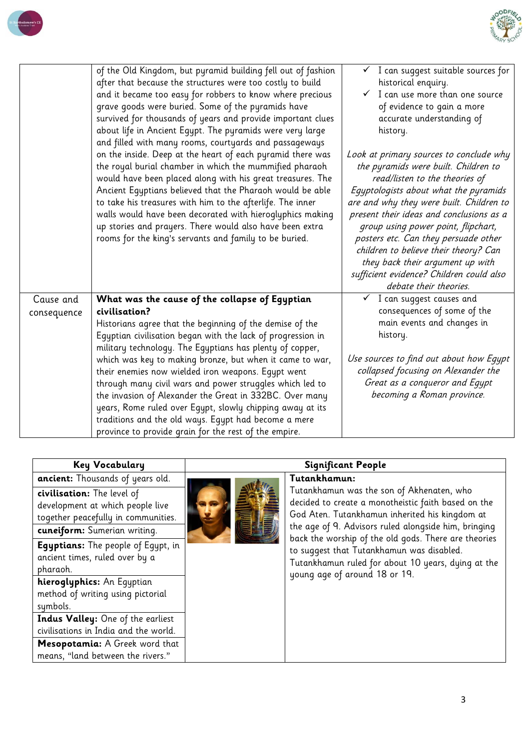



| of the Old Kingdom, but pyramid building fell out of fashion<br>I can suggest suitable sources for<br>after that because the structures were too costly to build<br>historical enquiry.<br>$\checkmark$ I can use more than one source<br>and it became too easy for robbers to know where precious<br>grave goods were buried. Some of the pyramids have<br>of evidence to gain a more<br>survived for thousands of years and provide important clues<br>accurate understanding of<br>about life in Ancient Egypt. The pyramids were very large<br>history.<br>and filled with many rooms, courtyards and passageways<br>on the inside. Deep at the heart of each pyramid there was<br>Look at primary sources to conclude why<br>the pyramids were built. Children to<br>the royal burial chamber in which the mummified pharaoh<br>would have been placed along with his great treasures. The<br>read/listen to the theories of<br>Ancient Egyptians believed that the Pharaoh would be able<br>Eqyptologists about what the pyramids<br>to take his treasures with him to the afterlife. The inner<br>are and why they were built. Children to<br>walls would have been decorated with hieroglyphics making<br>present their ideas and conclusions as a<br>up stories and prayers. There would also have been extra<br>group using power point, flipchart,<br>rooms for the king's servants and family to be buried.<br>posters etc. Can they persuade other<br>children to believe their theory? Can<br>they back their argument up with<br>sufficient evidence? Children could also<br>debate their theories.<br>$\checkmark$ I can suggest causes and<br>Cause and<br>What was the cause of the collapse of Egyptian<br>consequences of some of the<br>civilisation?<br>consequence<br>main events and changes in<br>Historians agree that the beginning of the demise of the |
|--------------------------------------------------------------------------------------------------------------------------------------------------------------------------------------------------------------------------------------------------------------------------------------------------------------------------------------------------------------------------------------------------------------------------------------------------------------------------------------------------------------------------------------------------------------------------------------------------------------------------------------------------------------------------------------------------------------------------------------------------------------------------------------------------------------------------------------------------------------------------------------------------------------------------------------------------------------------------------------------------------------------------------------------------------------------------------------------------------------------------------------------------------------------------------------------------------------------------------------------------------------------------------------------------------------------------------------------------------------------------------------------------------------------------------------------------------------------------------------------------------------------------------------------------------------------------------------------------------------------------------------------------------------------------------------------------------------------------------------------------------------------------------------------------------------------------------------------------------------------------------------|
|                                                                                                                                                                                                                                                                                                                                                                                                                                                                                                                                                                                                                                                                                                                                                                                                                                                                                                                                                                                                                                                                                                                                                                                                                                                                                                                                                                                                                                                                                                                                                                                                                                                                                                                                                                                                                                                                                      |
|                                                                                                                                                                                                                                                                                                                                                                                                                                                                                                                                                                                                                                                                                                                                                                                                                                                                                                                                                                                                                                                                                                                                                                                                                                                                                                                                                                                                                                                                                                                                                                                                                                                                                                                                                                                                                                                                                      |
|                                                                                                                                                                                                                                                                                                                                                                                                                                                                                                                                                                                                                                                                                                                                                                                                                                                                                                                                                                                                                                                                                                                                                                                                                                                                                                                                                                                                                                                                                                                                                                                                                                                                                                                                                                                                                                                                                      |
|                                                                                                                                                                                                                                                                                                                                                                                                                                                                                                                                                                                                                                                                                                                                                                                                                                                                                                                                                                                                                                                                                                                                                                                                                                                                                                                                                                                                                                                                                                                                                                                                                                                                                                                                                                                                                                                                                      |
| Eqyptian civilisation began with the lack of progression in<br>history.<br>military technology. The Egyptians has plenty of copper,                                                                                                                                                                                                                                                                                                                                                                                                                                                                                                                                                                                                                                                                                                                                                                                                                                                                                                                                                                                                                                                                                                                                                                                                                                                                                                                                                                                                                                                                                                                                                                                                                                                                                                                                                  |
| Use sources to find out about how Egypt<br>which was key to making bronze, but when it came to war,                                                                                                                                                                                                                                                                                                                                                                                                                                                                                                                                                                                                                                                                                                                                                                                                                                                                                                                                                                                                                                                                                                                                                                                                                                                                                                                                                                                                                                                                                                                                                                                                                                                                                                                                                                                  |
| collapsed focusing on Alexander the<br>their enemies now wielded iron weapons. Egypt went                                                                                                                                                                                                                                                                                                                                                                                                                                                                                                                                                                                                                                                                                                                                                                                                                                                                                                                                                                                                                                                                                                                                                                                                                                                                                                                                                                                                                                                                                                                                                                                                                                                                                                                                                                                            |
| Great as a conqueror and Egypt<br>through many civil wars and power struggles which led to                                                                                                                                                                                                                                                                                                                                                                                                                                                                                                                                                                                                                                                                                                                                                                                                                                                                                                                                                                                                                                                                                                                                                                                                                                                                                                                                                                                                                                                                                                                                                                                                                                                                                                                                                                                           |
| becoming a Roman province.<br>the invasion of Alexander the Great in 332BC. Over many                                                                                                                                                                                                                                                                                                                                                                                                                                                                                                                                                                                                                                                                                                                                                                                                                                                                                                                                                                                                                                                                                                                                                                                                                                                                                                                                                                                                                                                                                                                                                                                                                                                                                                                                                                                                |
| years, Rome ruled over Egypt, slowly chipping away at its<br>traditions and the old ways. Egypt had become a mere                                                                                                                                                                                                                                                                                                                                                                                                                                                                                                                                                                                                                                                                                                                                                                                                                                                                                                                                                                                                                                                                                                                                                                                                                                                                                                                                                                                                                                                                                                                                                                                                                                                                                                                                                                    |
| province to provide grain for the rest of the empire.                                                                                                                                                                                                                                                                                                                                                                                                                                                                                                                                                                                                                                                                                                                                                                                                                                                                                                                                                                                                                                                                                                                                                                                                                                                                                                                                                                                                                                                                                                                                                                                                                                                                                                                                                                                                                                |

| <b>Key Vocabulary</b>                                                                                                                 | <b>Significant People</b> |                                                                                                                                                                                                            |  |
|---------------------------------------------------------------------------------------------------------------------------------------|---------------------------|------------------------------------------------------------------------------------------------------------------------------------------------------------------------------------------------------------|--|
| <b>ancient:</b> Thousands of years old.                                                                                               |                           | Tutankhamun:                                                                                                                                                                                               |  |
| civilisation: The level of<br>development at which people live<br>together peacefully in communities.<br>cuneiform: Sumerian writing. |                           | Tutankhamun was the son of Akhenaten, who<br>decided to create a monotheistic faith based on the<br>God Aten. Tutankhamun inherited his kingdom at<br>the age of 9. Advisors ruled alongside him, bringing |  |
| <b>Egyptians:</b> The people of Egypt, in<br>ancient times, ruled over by a<br>pharaoh.                                               |                           | back the worship of the old gods. There are theories<br>to suggest that Tutankhamun was disabled.<br>Tutankhamun ruled for about 10 years, dying at the<br>young age of around 18 or 19.                   |  |
| hieroglyphics: An Equptian<br>method of writing using pictorial<br>symbols.                                                           |                           |                                                                                                                                                                                                            |  |
| Indus Valley: One of the earliest<br>civilisations in India and the world.                                                            |                           |                                                                                                                                                                                                            |  |
| Mesopotamia: A Greek word that<br>means, "land between the rivers."                                                                   |                           |                                                                                                                                                                                                            |  |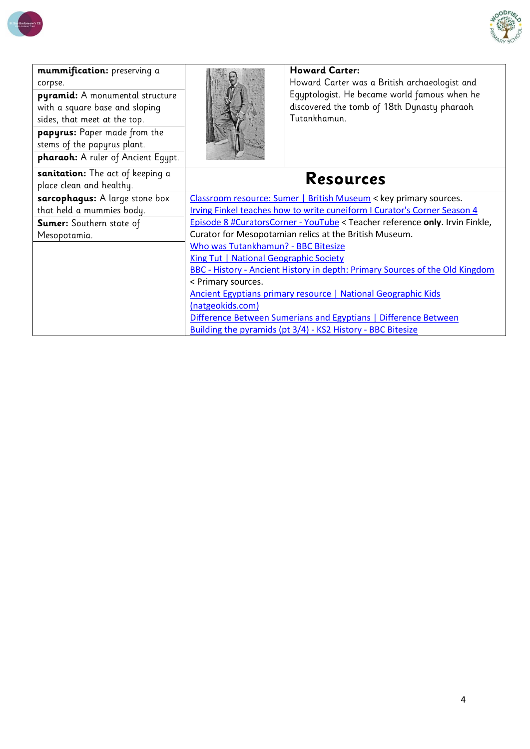

| mummification: preserving a<br>corpse.<br>pyramid: A monumental structure<br>with a square base and sloping<br>sides, that meet at the top.<br>papyrus: Paper made from the<br>stems of the papyrus plant.<br>pharaoh: A ruler of Ancient Equpt. |                                                                              | <b>Howard Carter:</b><br>Howard Carter was a British archaeologist and<br>Equptologist. He became world famous when he<br>discovered the tomb of 18th Dynasty pharaoh<br>Tutankhamun. |  |
|--------------------------------------------------------------------------------------------------------------------------------------------------------------------------------------------------------------------------------------------------|------------------------------------------------------------------------------|---------------------------------------------------------------------------------------------------------------------------------------------------------------------------------------|--|
| sanitation: The act of keeping a<br>place clean and healthy.                                                                                                                                                                                     | <b>Resources</b>                                                             |                                                                                                                                                                                       |  |
| sarcophagus: A large stone box                                                                                                                                                                                                                   | Classroom resource: Sumer   British Museum < key primary sources.            |                                                                                                                                                                                       |  |
| that held a mummies body.                                                                                                                                                                                                                        | Irving Finkel teaches how to write cuneiform I Curator's Corner Season 4     |                                                                                                                                                                                       |  |
| Sumer: Southern state of                                                                                                                                                                                                                         | Episode 8 #CuratorsCorner - YouTube < Teacher reference only. Irvin Finkle,  |                                                                                                                                                                                       |  |
| Mesopotamia.                                                                                                                                                                                                                                     | Curator for Mesopotamian relics at the British Museum.                       |                                                                                                                                                                                       |  |
|                                                                                                                                                                                                                                                  | Who was Tutankhamun? - BBC Bitesize                                          |                                                                                                                                                                                       |  |
|                                                                                                                                                                                                                                                  | King Tut   National Geographic Society                                       |                                                                                                                                                                                       |  |
|                                                                                                                                                                                                                                                  | BBC - History - Ancient History in depth: Primary Sources of the Old Kingdom |                                                                                                                                                                                       |  |
|                                                                                                                                                                                                                                                  | < Primary sources.                                                           |                                                                                                                                                                                       |  |
|                                                                                                                                                                                                                                                  | Ancient Egyptians primary resource   National Geographic Kids                |                                                                                                                                                                                       |  |
|                                                                                                                                                                                                                                                  | (natgeokids.com)                                                             |                                                                                                                                                                                       |  |
|                                                                                                                                                                                                                                                  | Difference Between Sumerians and Egyptians   Difference Between              |                                                                                                                                                                                       |  |
|                                                                                                                                                                                                                                                  |                                                                              | Building the pyramids (pt 3/4) - KS2 History - BBC Bitesize                                                                                                                           |  |